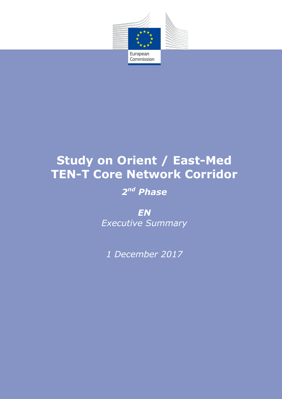

# **Study on Orient / East-Med TEN-T Core Network Corridor**

# *2 nd Phase*

*EN Executive Summary*

*1 December 2017*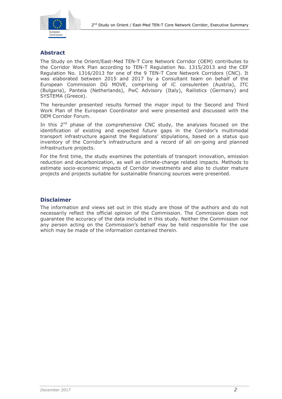

# **Abstract**

The Study on the Orient/East-Med TEN-T Core Network Corridor (OEM) contributes to the Corridor Work Plan according to TEN-T Regulation No. 1315/2013 and the CEF Regulation No. 1316/2013 for one of the 9 TEN-T Core Network Corridors (CNC). It was elaborated between 2015 and 2017 by a Consultant team on behalf of the European Commission DG MOVE, comprising of iC consulenten (Austria), ITC (Bulgaria), Panteia (Netherlands), PwC Advisory (Italy), Railistics (Germany) and SYSTEMA (Greece).

The hereunder presented results formed the major input to the Second and Third Work Plan of the European Coordinator and were presented and discussed with the OEM Corridor Forum.

In this  $2^{nd}$  phase of the comprehensive CNC study, the analyses focused on the identification of existing and expected future gaps in the Corridor's multimodal transport infrastructure against the Regulations' stipulations, based on a status quo inventory of the Corridor's infrastructure and a record of all on-going and planned infrastructure projects.

For the first time, the study examines the potentials of transport innovation, emission reduction and decarbonization, as well as climate-change related impacts. Methods to estimate socio-economic impacts of Corridor investments and also to cluster mature projects and projects suitable for sustainable financing sources were presented.

## **Disclaimer**

The information and views set out in this study are those of the authors and do not necessarily reflect the official opinion of the Commission. The Commission does not guarantee the accuracy of the data included in this study. Neither the Commission nor any person acting on the Commission's behalf may be held responsible for the use which may be made of the information contained therein.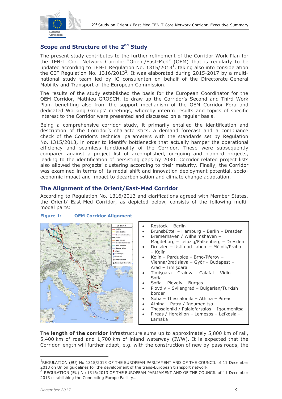

# **Scope and Structure of the 2<sup>nd</sup> Study**

The present study contributes to the further refinement of the Corridor Work Plan for the TEN-T Core Network Corridor "Orient/East-Med" (OEM) that is regularly to be updated according to TEN-T Regulation No.  $1315/2013<sup>1</sup>$ , taking also into consideration the CEF Regulation No.  $1316/2013^2$ . It was elaborated during 2015-2017 by a multinational study team led by iC consulenten on behalf of the Directorate-General Mobility and Transport of the European Commission.

The results of the study established the basis for the European Coordinator for the OEM Corridor, Mathieu GROSCH, to draw up the Corridor's Second and Third Work Plan, benefiting also from the support mechanism of the OEM Corridor Fora and dedicated Working Groups' meetings, whereby interim results and topics of specific interest to the Corridor were presented and discussed on a regular basis.

Being a comprehensive corridor study, it primarily entailed the identification and description of the Corridor's characteristics, a demand forecast and a compliance check of the Corridor's technical parameters with the standards set by Regulation No. 1315/2013, in order to identify bottlenecks that actually hamper the operational efficiency and seamless functionality of the Corridor. These were subsequently compared against a project list of accomplished, on-going and planned projects, leading to the identification of persisting gaps by 2030. Corridor related project lists also allowed the projects' clustering according to their maturity. Finally, the Corridor was examined in terms of its modal shift and innovation deployment potential, socioeconomic impact and impact to decarbonisation and climate change adaptation.

# **The Alignment of the Orient/East-Med Corridor**

According to Regulation No. 1316/2013 and clarifications agreed with Member States, the Orient/ East-Med Corridor, as depicted below, consists of the following multimodal parts:

#### **Figure 1: OEM Corridor Alignment**



The **length of the corridor** infrastructure sums up to approximately 5,800 km of rail, 5,400 km of road and 1,700 km of inland waterway (IWW). It is expected that the Corridor length will further adapt, e.g. with the construction of new by-pass roads, the

<sup>&</sup>lt;sup>1</sup>REGULATION (EU) No 1315/2013 OF THE EUROPEAN PARLIAMENT AND OF THE COUNCIL of 11 December 2013 on Union guidelines for the development of the trans-European transport network…

<sup>&</sup>lt;sup>2</sup> REGULATION (EU) No 1316/2013 OF THE EUROPEAN PARLIAMENT AND OF THE COUNCIL of 11 December 2013 establishing the Connecting Europe Facility…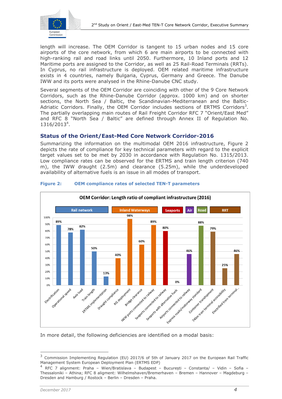

length will increase. The OEM Corridor is tangent to 15 urban nodes and 15 core airports of the core network, from which 6 are main airports to be connected with high-ranking rail and road links until 2050. Furthermore, 10 Inland ports and 12 Maritime ports are assigned to the Corridor, as well as 25 Rail-Road Terminals (RRTs). In Cyprus, no rail infrastructure is deployed. OEM related maritime infrastructure exists in 4 countries, namely Bulgaria, Cyprus, Germany and Greece. The Danube IWW and its ports were analysed in the Rhine-Danube CNC study.

Several segments of the OEM Corridor are coinciding with other of the 9 Core Network Corridors, such as the Rhine-Danube Corridor (approx. 1000 km) and on shorter sections, the North Sea / Baltic, the Scandinavian-Mediterranean and the Baltic-Adriatic Corridors. Finally, the OEM Corridor includes sections of ERTMS Corridors<sup>3</sup>. The partially overlapping main routes of Rail Freight Corridor RFC 7 "Orient/East Med" and RFC 8 "North Sea / Baltic" are defined through Annex II of Regulation No. 1316/2013<sup>4</sup> .

## **Status of the Orient/East-Med Core Network Corridor-2016**

Summarizing the information on the multimodal OEM 2016 infrastructure, Figure 2 depicts the rate of compliance for key technical parameters with regard to the explicit target values set to be met by 2030 in accordance with Regulation No. 1315/2013. Low compliance rates can be observed for the ERTMS and train length criterion (740 m), the IWW draught (2.5m) and clearance (5.25m), while the underdeveloped availability of alternative fuels is an issue in all modes of transport.



#### **Figure 2: OEM compliance rates of selected TEN-T parameters**

In more detail, the following deficiencies are identified on a modal basis:

<sup>&</sup>lt;sup>3</sup> Commission Implementing Regulation (EU) 2017/6 of 5th of January 2017 on the European Rail Traffic Management System European Deployment Plan (ERTMS EDP)

<sup>4</sup> RFC 7 alignment: Praha – Wien/Bratislava – Budapest – București – Constanta/ – Vidin – Sofia – Thessaloniki – Athina; RFC 8 aligment: Wilhelmshaven/Bremerhaven – Bremen – Hannover – Magdeburg – Dresden and Hamburg / Rostock – Berlin – Dresden – Praha.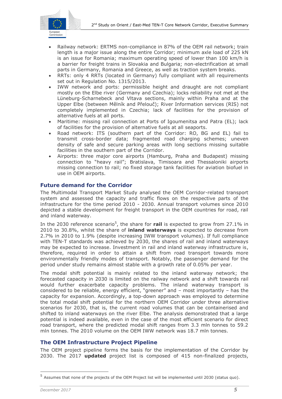

- Railway network: ERTMS non-compliance in 87% of the OEM rail network; train length is a major issue along the entire Corridor; minimum axle load of 225 kN is an issue for Romania; maximum operating speed of lower than 100 km/h is a barrier for freight trains in Slovakia and Bulgaria; non-electrification at small parts in Germany, Romania and Greece, as well as traction system breaks.
- RRTs: only 4 RRTs (located in Germany) fully compliant with all requirements set out in Regulation No. 1315/2013.
- IWW network and ports: permissible height and draught are not compliant mostly on the Elbe river (Germany and Czechia); locks reliability not met at the Lüneburg-Scharnebeck and Vltava sections, mainly within Praha and at the Upper Elbe (between Mělník and Přelouč); River Information services (RIS) not completely implemented in Czechia; lack of facilities for the provision of alternative fuels at all ports.
- Maritime: missing rail connection at Ports of Igoumenitsa and Patra (EL); lack of facilities for the provision of alternative fuels at all seaports.
- Road network: ITS (southern part of the Corridor: RO, BG and EL) fail to transmit cross-border data; fragmented road charging schemes; uneven density of safe and secure parking areas with long sections missing suitable facilities in the southern part of the Corridor.
- Airports: three major core airports (Hamburg, Praha and Budapest) missing connection to "heavy rail"; Bratislava, Timisoara and Thessaloniki airports missing connection to rail; no fixed storage tank facilities for aviation biofuel in use in OEM airports.

# **Future demand for the Corridor**

The Multimodal Transport Market Study analysed the OEM Corridor-related transport system and assessed the capacity and traffic flows on the respective parts of the infrastructure for the time period 2010 - 2030. Annual transport volumes since 2010 depicted a stable development for freight transport in the OEM countries for road, rail and inland waterway.

In the 2030 reference scenario<sup>5</sup>, the share for rail is expected to grow from 27.1% in 2010 to 30.8%, whilst the share of **inland waterways** is expected to decrease from 2.7% in 2010 to 1.9% (despite increasing IWW transport volumes). If full compliance with TEN-T standards was achieved by 2030, the shares of rail and inland waterways may be expected to increase. Investment in rail and inland waterway infrastructure is, therefore, required in order to attain a shift from road transport towards more environmentally friendly modes of transport. Notably, the passenger demand for the period under study remains almost stable with a growth rate of 0.05% per year.

The modal shift potential is mainly related to the inland waterway network; the forecasted capacity in 2030 is limited on the railway network and a shift towards rail would further exacerbate capacity problems. The inland waterway transport is considered to be reliable, energy efficient, "greener" and – most importantly – has the capacity for expansion. Accordingly, a top-down approach was employed to determine the total modal shift potential for the northern OEM Corridor under three alternative scenarios for 2030, that is, the current road volumes that can be containerised and shifted to inland waterways on the river Elbe. The analysis demonstrated that a large potential is indeed available, even in the case of the most efficient scenario for direct road transport, where the predicted modal shift ranges from 3.3 mln tonnes to 59.2 mln tonnes. The 2010 volume on the OEM IWW network was 18.7 mln tonnes.

# **The OEM Infrastructure Project Pipeline**

The OEM project pipeline forms the basis for the implementation of the Corridor by 2030. The 2017 **updated** project list is composed of 415 non-finalized projects,

<sup>5</sup> Assumes that none of the projects of the OEM Project list will be implemented until 2030 (status quo).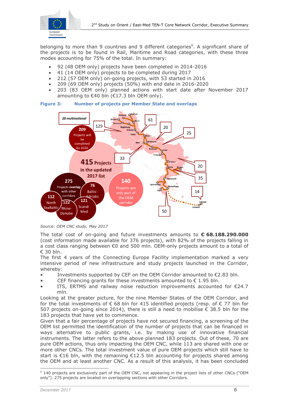

belonging to more than 9 countries and 9 different categories<sup>6</sup>. A significant share of the projects is to be found in Rail, Maritime and Road categories, with these three modes accounting for 75% of the total. In summary:

- 92 (48 OEM only) projects have been completed in 2014-2016
- 41 (14 OEM only) projects to be completed during 2017
- 212 (57 OEM only) on-going projects, with 53 started in 2016
- 209 (69 OEM only) projects (50%) with end date in 2016-2020
- 203 (83 OEM only) planned actions with start date after November 2017 amounting to €40 bln (€17.3 bln OEM only).



#### **Figure 3: Number of projects per Member State and overlaps**

The total cost of on-going and future investments amounts to **€ 68.188.290.000**  (cost information made available for 376 projects), with 82% of the projects falling in a cost class ranging between €0 and 500 mln. OEM-only projects amount to a total of € 30 bln.

The first 4 years of the Connecting Europe Facility implementation marked a very intensive period of new infrastructure and study projects launched in the Corridor, whereby:

- Investments supported by CEF on the OEM Corridor amounted to  $\epsilon$ 2.83 bln.
- CEF financing grants for these investments amounted to  $\epsilon$  1.95 bln.
- ITS, ERTMS and railway noise reduction improvements accounted for €24.7 mln.

Looking at the greater picture, for the nine Member States of the OEM Corridor, and for the total investments of  $\epsilon$  68 bln for 415 identified projects (resp. of  $\epsilon$  77 bln for 507 projects on-going since 2014), there is still a need to mobilise  $\epsilon$  38.5 bln for the 183 projects that have yet to commence.

Given that a fair percentage of projects have not secured financing, a screening of the OEM list permitted the identification of the number of projects that can be financed in ways alternative to public grants, i.e. by making use of innovative financial instruments. The latter refers to the above planned 183 projects. Out of these, 70 are pure OEM actions, thus only impacting the OEM CNC, while 113 are shared with one or more other CNCs. The total investment value of pure OEM projects which still have to start is €16 bln, with the remaining €12.5 bln accounting for projects shared among the OEM and at least another CNC. As a result of this analysis, it has been concluded

*Source: OEM CNC study, May 2017*

 $6$  140 projects are exclusively part of the OEM CNC, not appearing in the project lists of other CNCs ("OEM only"). 275 projects are located on overlapping sections with other Corridors.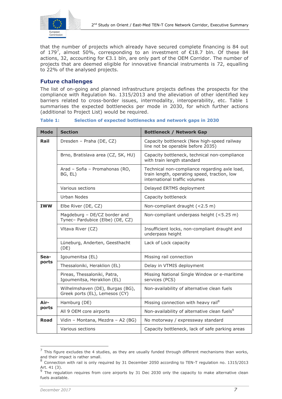

that the number of projects which already have secured complete financing is 84 out of 179<sup>7</sup>, almost 50%, corresponding to an investment of  $E$ 18.7 bln. Of these 84 actions, 32, accounting for €3.1 bln, are only part of the OEM Corridor. The number of projects that are deemed eligible for innovative financial instruments is 72, equalling to 22% of the analysed projects.

# **Future challenges**

The list of on-going and planned infrastructure projects defines the prospects for the compliance with Regulation No. 1315/2013 and the alleviation of other identified key barriers related to cross-border issues, intermodality, interoperability, etc. Table 1 summarises the expected bottlenecks per mode in 2030, for which further actions (additional to Project List) would be required.

**Table 1: Selection of expected bottlenecks and network gaps in 2030**

| <b>Mode</b>   | <b>Section</b>                                                     | <b>Bottleneck / Network Gap</b>                                                                                                |
|---------------|--------------------------------------------------------------------|--------------------------------------------------------------------------------------------------------------------------------|
| Rail          | Dresden - Praha (DE, CZ)                                           | Capacity bottleneck (New high-speed railway<br>line not be operable before 2035)                                               |
|               | Brno, Bratislava area (CZ, SK, HU)                                 | Capacity bottleneck, technical non-compliance<br>with train length standard                                                    |
|               | Arad - Sofia - Promahonas (RO,<br>BG, EL)                          | Technical non-compliance regarding axle load,<br>train length, operating speed, traction, low<br>international traffic volumes |
|               | Various sections                                                   | Delayed ERTMS deployment                                                                                                       |
|               | <b>Urban Nodes</b>                                                 | Capacity bottleneck                                                                                                            |
| <b>IWW</b>    | Elbe River (DE, CZ)                                                | Non-compliant draught (<2.5 m)                                                                                                 |
|               | Magdeburg - DE/CZ border and<br>Tynec- Pardubice (Elbe) (DE, CZ)   | Non-compliant underpass height (<5.25 m)                                                                                       |
|               | Vltava River (CZ)                                                  | Insufficient locks, non-compliant draught and<br>underpass height                                                              |
|               | Lüneburg, Anderten, Geesthacht<br>(DE)                             | Lack of Lock capacity                                                                                                          |
| Sea-<br>ports | Igoumenitsa (EL)                                                   | Missing rail connection                                                                                                        |
|               | Thessaloniki, Heraklion (EL)                                       | Delay in VTMIS deployment                                                                                                      |
|               | Pireas, Thessaloniki, Patra,<br>Igoumenitsa, Heraklion (EL)        | Missing National Single Window or e-maritime<br>services (PCS)                                                                 |
|               | Wilhelmshaven (DE), Burgas (BG),<br>Greek ports (EL), Lemesos (CY) | Non-availability of alternative clean fuels                                                                                    |
| Air-<br>ports | Hamburg (DE)                                                       | Missing connection with heavy rail <sup>8</sup>                                                                                |
|               | All 9 OEM core airports                                            | Non-availability of alternative clean fuels <sup>9</sup>                                                                       |
| <b>Road</b>   | Vidin - Montana, Mezdra - A2 (BG)                                  | No motorway / expressway standard                                                                                              |
|               | Various sections                                                   | Capacity bottleneck, lack of safe parking areas                                                                                |

 $<sup>7</sup>$  This figure excludes the 4 studies, as they are usually funded through different mechanisms than works,</sup> and their impact is rather small.<br><sup>8</sup> Connection with rail is only re

 $\overline{a}$ 

Connection with rail is only required by 31 December 2050 according to TEN-T regulation no. 1315/2013 Art. 41 (3).

<sup>&</sup>lt;sup>9</sup> The regulation requires from core airports by 31 Dec 2030 only the capacity to make alternative clean fuels available.